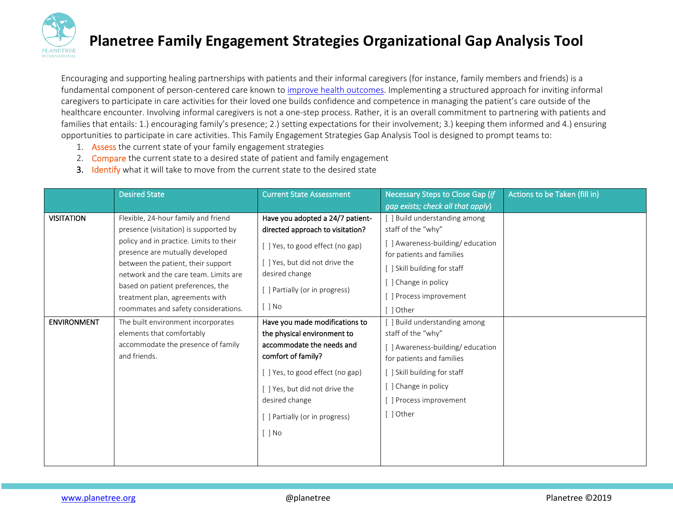

Encouraging and supporting healing partnerships with patients and their informal caregivers (for instance, family members and friends) is a fundamental component of person-centered care known to [improve health](https://www.ncbi.nlm.nih.gov/pubmed/?term=Caregiver+Integration+During+Discharge+Planning+for+Older+Adults+to+Reduce+Resource+Use%3A+A+Metaanalysis) outcomes. Implementing a structured approach for inviting informal caregivers to participate in care activities for their loved one builds confidence and competence in managing the patient's care outside of the healthcare encounter. Involving informal caregivers is not a one-step process. Rather, it is an overall commitment to partnering with patients and families that entails: 1.) encouraging family's presence; 2.) setting expectations for their involvement; 3.) keeping them informed and 4.) ensuring opportunities to participate in care activities. This Family Engagement Strategies Gap Analysis Tool is designed to prompt teams to:

- 1. Assess the current state of your family engagement strategies
- 2. Compare the current state to a desired state of patient and family engagement
- 3. Identify what it will take to move from the current state to the desired state

|                    | <b>Desired State</b>                    | <b>Current State Assessment</b>  | Necessary Steps to Close Gap (if  | Actions to be Taken (fill in) |
|--------------------|-----------------------------------------|----------------------------------|-----------------------------------|-------------------------------|
|                    |                                         |                                  | gap exists; check all that apply) |                               |
| <b>VISITATION</b>  | Flexible, 24-hour family and friend     | Have you adopted a 24/7 patient- | [ ] Build understanding among     |                               |
|                    | presence (visitation) is supported by   | directed approach to visitation? | staff of the "why"                |                               |
|                    | policy and in practice. Limits to their | [] Yes, to good effect (no gap)  | [ ] Awareness-building/education  |                               |
|                    | presence are mutually developed         |                                  | for patients and families         |                               |
|                    | between the patient, their support      | [ ] Yes, but did not drive the   | [ ] Skill building for staff      |                               |
|                    | network and the care team. Limits are   | desired change                   | [ ] Change in policy              |                               |
|                    | based on patient preferences, the       | [ ] Partially (or in progress)   |                                   |                               |
|                    | treatment plan, agreements with         | $[$ $]$ No                       | [] Process improvement            |                               |
|                    | roommates and safety considerations.    |                                  | [ ] Other                         |                               |
| <b>ENVIRONMENT</b> | The built environment incorporates      | Have you made modifications to   | [ ] Build understanding among     |                               |
|                    | elements that comfortably               | the physical environment to      | staff of the "why"                |                               |
|                    | accommodate the presence of family      | accommodate the needs and        | [] Awareness-building/education   |                               |
|                    | and friends.                            | comfort of family?               | for patients and families         |                               |
|                    |                                         | [ ] Yes, to good effect (no gap) | [ ] Skill building for staff      |                               |
|                    |                                         | [ ] Yes, but did not drive the   | [ ] Change in policy              |                               |
|                    |                                         | desired change                   | [] Process improvement            |                               |
|                    |                                         | [ ] Partially (or in progress)   | [] Other                          |                               |
|                    |                                         | $[ ]$ No                         |                                   |                               |
|                    |                                         |                                  |                                   |                               |
|                    |                                         |                                  |                                   |                               |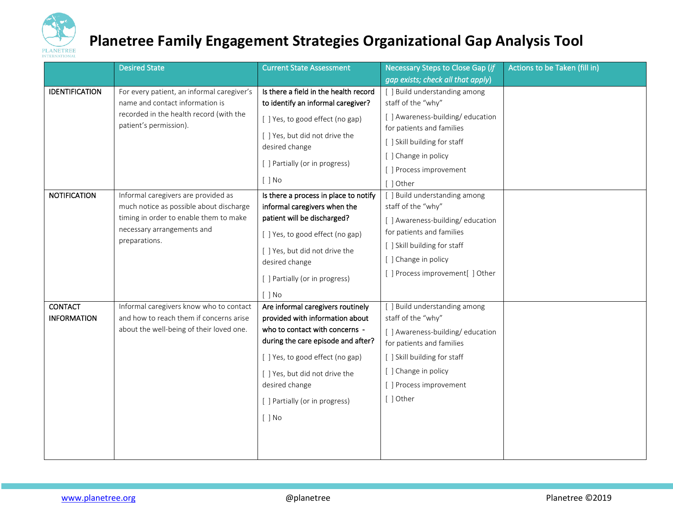

|                       | <b>Desired State</b>                                                                                 | <b>Current State Assessment</b>                                                                  | Necessary Steps to Close Gap (if                             | Actions to be Taken (fill in) |
|-----------------------|------------------------------------------------------------------------------------------------------|--------------------------------------------------------------------------------------------------|--------------------------------------------------------------|-------------------------------|
|                       |                                                                                                      |                                                                                                  | gap exists; check all that apply)                            |                               |
| <b>IDENTIFICATION</b> | For every patient, an informal caregiver's                                                           | Is there a field in the health record                                                            | [ ] Build understanding among                                |                               |
|                       | name and contact information is<br>recorded in the health record (with the<br>patient's permission). | to identify an informal caregiver?                                                               | staff of the "why"                                           |                               |
|                       |                                                                                                      | [ ] Yes, to good effect (no gap)                                                                 | [] Awareness-building/education<br>for patients and families |                               |
|                       |                                                                                                      | [ ] Yes, but did not drive the<br>desired change<br>[ ] Partially (or in progress)<br>$[$ $]$ No | [ ] Skill building for staff                                 |                               |
|                       |                                                                                                      |                                                                                                  | [ ] Change in policy                                         |                               |
|                       |                                                                                                      |                                                                                                  | [] Process improvement                                       |                               |
|                       |                                                                                                      |                                                                                                  | [ ] Other                                                    |                               |
| <b>NOTIFICATION</b>   | Informal caregivers are provided as<br>much notice as possible about discharge                       | Is there a process in place to notify                                                            | [ ] Build understanding among                                |                               |
|                       |                                                                                                      | informal caregivers when the                                                                     | staff of the "why"                                           |                               |
|                       | timing in order to enable them to make                                                               | patient will be discharged?                                                                      | [] Awareness-building/education                              |                               |
|                       | necessary arrangements and<br>preparations.                                                          | [] Yes, to good effect (no gap)                                                                  | for patients and families                                    |                               |
|                       |                                                                                                      | [ ] Yes, but did not drive the<br>desired change                                                 | [ ] Skill building for staff                                 |                               |
|                       |                                                                                                      |                                                                                                  | [ ] Change in policy                                         |                               |
|                       |                                                                                                      | [ ] Partially (or in progress)                                                                   | [] Process improvement[] Other                               |                               |
|                       |                                                                                                      | $[$ $]$ No                                                                                       |                                                              |                               |
| <b>CONTACT</b>        | Informal caregivers know who to contact                                                              | Are informal caregivers routinely                                                                | [ ] Build understanding among                                |                               |
| <b>INFORMATION</b>    | and how to reach them if concerns arise                                                              | provided with information about                                                                  | staff of the "why"                                           |                               |
|                       | about the well-being of their loved one.                                                             | who to contact with concerns -                                                                   | [ ] Awareness-building/education                             |                               |
|                       |                                                                                                      | during the care episode and after?                                                               | for patients and families                                    |                               |
|                       |                                                                                                      | [] Yes, to good effect (no gap)                                                                  | [ ] Skill building for staff                                 |                               |
|                       |                                                                                                      | [ ] Yes, but did not drive the                                                                   | [ ] Change in policy                                         |                               |
|                       |                                                                                                      | desired change                                                                                   | [ ] Process improvement                                      |                               |
|                       |                                                                                                      | [ ] Partially (or in progress)                                                                   | [ ] Other                                                    |                               |
|                       |                                                                                                      | $[ ]$ No                                                                                         |                                                              |                               |
|                       |                                                                                                      |                                                                                                  |                                                              |                               |
|                       |                                                                                                      |                                                                                                  |                                                              |                               |
|                       |                                                                                                      |                                                                                                  |                                                              |                               |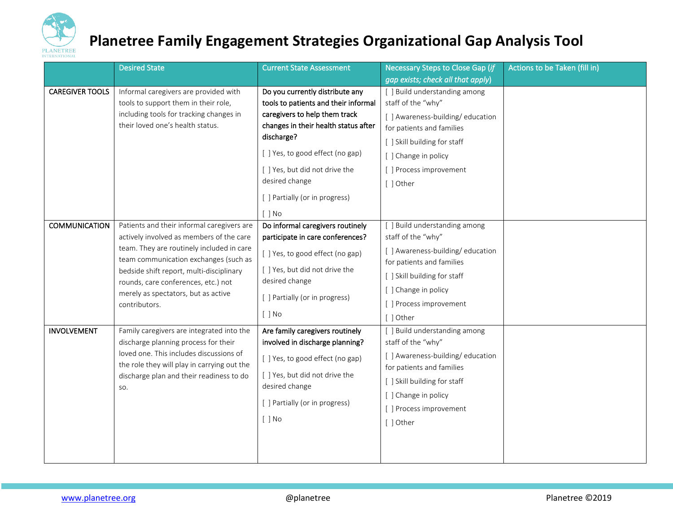

|                        | <b>Desired State</b>                                                                                                                                                                                                           | <b>Current State Assessment</b>                  | Necessary Steps to Close Gap (if                              | Actions to be Taken (fill in) |
|------------------------|--------------------------------------------------------------------------------------------------------------------------------------------------------------------------------------------------------------------------------|--------------------------------------------------|---------------------------------------------------------------|-------------------------------|
|                        |                                                                                                                                                                                                                                |                                                  | gap exists; check all that apply)                             |                               |
| <b>CAREGIVER TOOLS</b> | Informal caregivers are provided with                                                                                                                                                                                          | Do you currently distribute any                  | [ ] Build understanding among                                 |                               |
|                        | tools to support them in their role,                                                                                                                                                                                           | tools to patients and their informal             | staff of the "why"                                            |                               |
|                        | including tools for tracking changes in                                                                                                                                                                                        | caregivers to help them track                    | [] Awareness-building/education                               |                               |
|                        | their loved one's health status.                                                                                                                                                                                               | changes in their health status after             | for patients and families                                     |                               |
|                        |                                                                                                                                                                                                                                | discharge?                                       | [ ] Skill building for staff                                  |                               |
|                        |                                                                                                                                                                                                                                | [] Yes, to good effect (no gap)                  | [ ] Change in policy                                          |                               |
|                        |                                                                                                                                                                                                                                | [] Yes, but did not drive the                    | [ ] Process improvement                                       |                               |
|                        |                                                                                                                                                                                                                                | desired change                                   | [ ] Other                                                     |                               |
|                        |                                                                                                                                                                                                                                | [ ] Partially (or in progress)                   |                                                               |                               |
|                        |                                                                                                                                                                                                                                | $[$ $]$ No                                       |                                                               |                               |
| <b>COMMUNICATION</b>   | Patients and their informal caregivers are                                                                                                                                                                                     | Do informal caregivers routinely                 | [ ] Build understanding among                                 |                               |
|                        | actively involved as members of the care                                                                                                                                                                                       | participate in care conferences?                 | staff of the "why"                                            |                               |
|                        | team. They are routinely included in care                                                                                                                                                                                      | [] Yes, to good effect (no gap)                  | [ ] Awareness-building/education                              |                               |
|                        | team communication exchanges (such as                                                                                                                                                                                          | [ ] Yes, but did not drive the                   | for patients and families                                     |                               |
|                        | bedside shift report, multi-disciplinary<br>rounds, care conferences, etc.) not<br>merely as spectators, but as active<br>contributors.                                                                                        | desired change                                   | [ ] Skill building for staff                                  |                               |
|                        |                                                                                                                                                                                                                                | [] Partially (or in progress)<br>$[$ $]$ No      | [ ] Change in policy                                          |                               |
|                        |                                                                                                                                                                                                                                |                                                  | [] Process improvement                                        |                               |
|                        |                                                                                                                                                                                                                                |                                                  | [ ] Other                                                     |                               |
| <b>INVOLVEMENT</b>     | Family caregivers are integrated into the<br>discharge planning process for their<br>loved one. This includes discussions of<br>the role they will play in carrying out the<br>discharge plan and their readiness to do<br>SO. | Are family caregivers routinely                  | [ ] Build understanding among                                 |                               |
|                        |                                                                                                                                                                                                                                | involved in discharge planning?                  | staff of the "why"                                            |                               |
|                        |                                                                                                                                                                                                                                | [ ] Yes, to good effect (no gap)                 | [ ] Awareness-building/education<br>for patients and families |                               |
|                        |                                                                                                                                                                                                                                | [ ] Yes, but did not drive the<br>desired change |                                                               |                               |
|                        |                                                                                                                                                                                                                                |                                                  | [ ] Skill building for staff                                  |                               |
|                        |                                                                                                                                                                                                                                | [ ] Partially (or in progress)<br>$[ ]$ No       | [ ] Change in policy                                          |                               |
|                        |                                                                                                                                                                                                                                |                                                  | [] Process improvement                                        |                               |
|                        |                                                                                                                                                                                                                                |                                                  | [ ] Other                                                     |                               |
|                        |                                                                                                                                                                                                                                |                                                  |                                                               |                               |
|                        |                                                                                                                                                                                                                                |                                                  |                                                               |                               |
|                        |                                                                                                                                                                                                                                |                                                  |                                                               |                               |